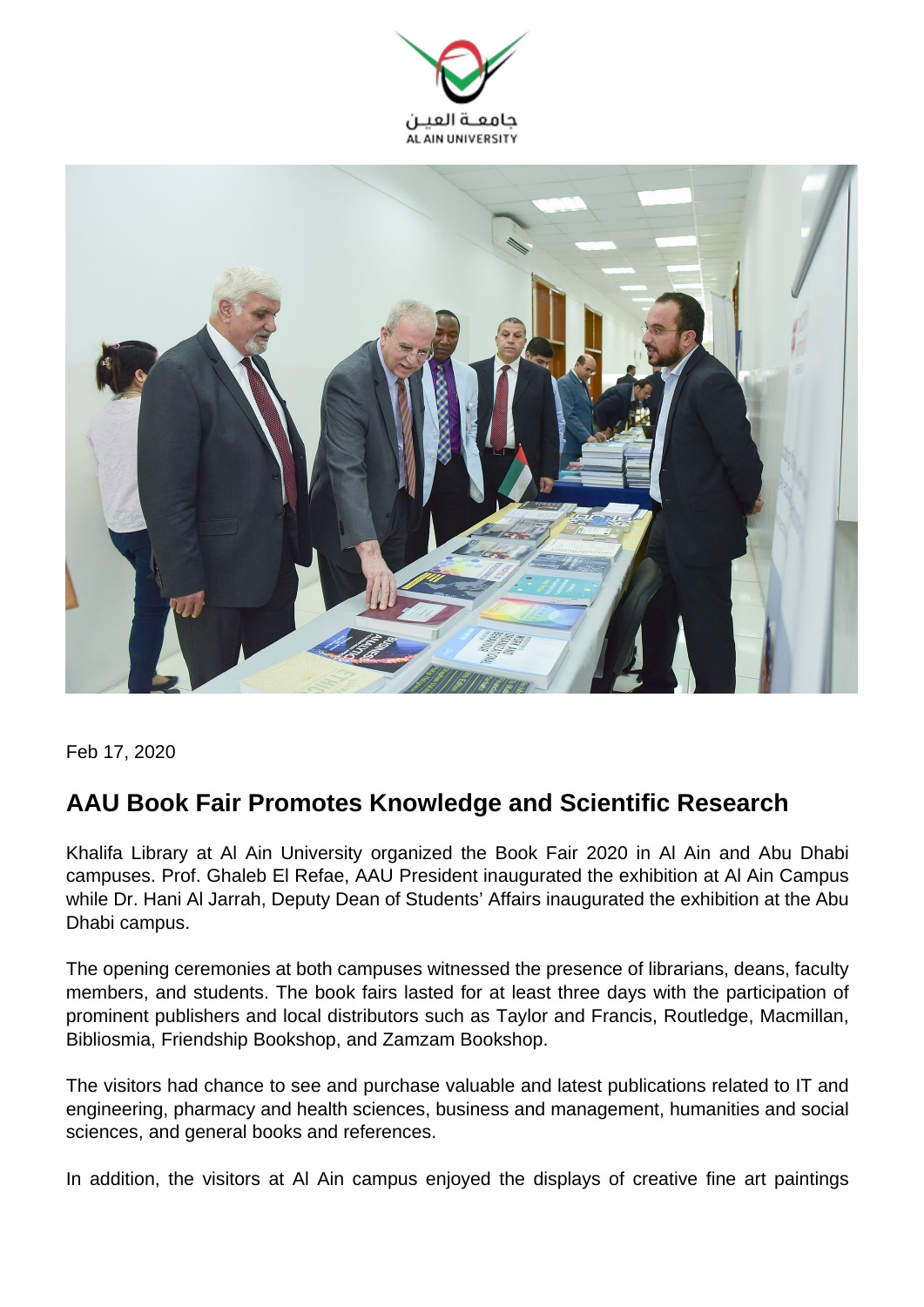



Feb 17, 2020

## **AAU Book Fair Promotes Knowledge and Scientific Research**

Khalifa Library at Al Ain University organized the Book Fair 2020 in Al Ain and Abu Dhabi campuses. Prof. Ghaleb El Refae, AAU President inaugurated the exhibition at Al Ain Campus while Dr. Hani Al Jarrah, Deputy Dean of Students' Affairs inaugurated the exhibition at the Abu Dhabi campus.

The opening ceremonies at both campuses witnessed the presence of librarians, deans, faculty members, and students. The book fairs lasted for at least three days with the participation of prominent publishers and local distributors such as Taylor and Francis, Routledge, Macmillan, Bibliosmia, Friendship Bookshop, and Zamzam Bookshop.

The visitors had chance to see and purchase valuable and latest publications related to IT and engineering, pharmacy and health sciences, business and management, humanities and social sciences, and general books and references.

In addition, the visitors at Al Ain campus enjoyed the displays of creative fine art paintings